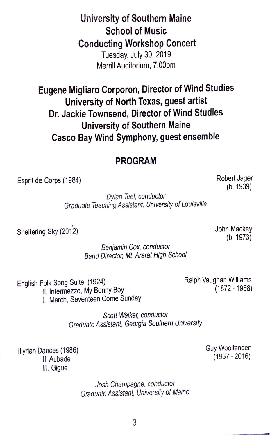**University of Southern Maine School of Music Conducting Workshop Concert**  Tuesday, July 30, 2019 Merrill Auditorium, 7:00pm

**Eugene Migliaro Corporon, Director of Wind Studies University of North Texas, guest artist Dr. Jackie Townsend, Director of Wind Studies University of Southern Maine Casco Bay Wind Symphony, guest ensemble** 

## **PROGRAM**

Esprit de Corps (1984)

Robert Jager (b. 1939)

*Dylan Teel, conductor Graduate Teaching Assistant, University of Louisviffe* 

Sheltering Sky (2012)

John Mackey (b. 1973)

*Benjamin Cox, conductor Band Director, Mt. Ararat High Schoof* 

English Folk Song Suite (1924)

11. Intermezzo, My Bonny Boy

I. March, Seventeen Come Sunday

Ralph Vaughan Williams (1872 - 1958)

*Scott Walker, conductor Graduate Assistant, Georgia Southern University* 

Illyrian Dances (1986) <sup>11</sup> .Aubade Ill. Gigue

> *Josh Champagne, conductor Graduate Assistant, University of Maine*

Guy Woolfenden  $(1937 - 2016)$